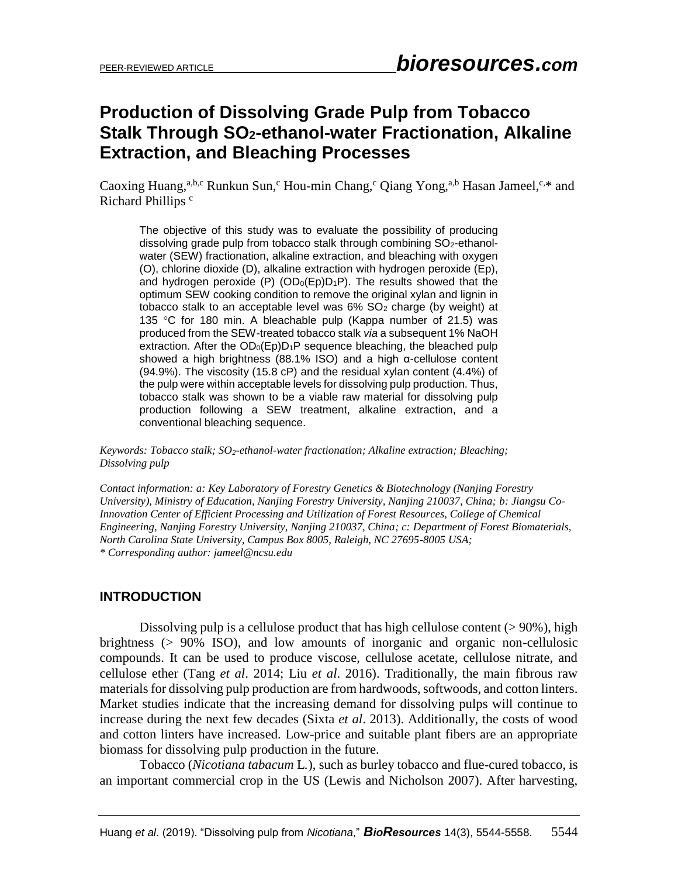# **Production of Dissolving Grade Pulp from Tobacco Stalk Through SO2-ethanol-water Fractionation, Alkaline Extraction, and Bleaching Processes**

Caoxing Huang,<sup>a,b,c</sup> Runkun Sun,<sup>c</sup> Hou-min Chang,<sup>c</sup> Qiang Yong,<sup>a,b</sup> Hasan Jameel,<sup>c,\*</sup> and Richard Phillips<sup>c</sup>

The objective of this study was to evaluate the possibility of producing dissolving grade pulp from tobacco stalk through combining SO<sub>2</sub>-ethanolwater (SEW) fractionation, alkaline extraction, and bleaching with oxygen (O), chlorine dioxide (D), alkaline extraction with hydrogen peroxide (Ep), and hydrogen peroxide (P)  $(OD<sub>0</sub>(Ep)D<sub>1</sub>P)$ . The results showed that the optimum SEW cooking condition to remove the original xylan and lignin in tobacco stalk to an acceptable level was  $6\%$  SO<sub>2</sub> charge (by weight) at 135 °C for 180 min. A bleachable pulp (Kappa number of 21.5) was produced from the SEW-treated tobacco stalk *via* a subsequent 1% NaOH extraction. After the  $OD_0(Ep)D_1P$  sequence bleaching, the bleached pulp showed a high brightness (88.1% ISO) and a high α-cellulose content (94.9%). The viscosity (15.8 cP) and the residual xylan content (4.4%) of the pulp were within acceptable levels for dissolving pulp production. Thus, tobacco stalk was shown to be a viable raw material for dissolving pulp production following a SEW treatment, alkaline extraction, and a conventional bleaching sequence.

*Keywords: Tobacco stalk; SO2-ethanol-water fractionation; Alkaline extraction; Bleaching; Dissolving pulp*

*Contact information: a: Key Laboratory of Forestry Genetics & Biotechnology (Nanjing Forestry University), Ministry of Education, Nanjing Forestry University, Nanjing 210037, China; b: Jiangsu Co-Innovation Center of Efficient Processing and Utilization of Forest Resources, College of Chemical Engineering, Nanjing Forestry University, Nanjing 210037, China; c: Department of Forest Biomaterials, North Carolina State University, Campus Box 8005, Raleigh, NC 27695-8005 USA; \* Corresponding author: jameel@ncsu.edu*

### **INTRODUCTION**

Dissolving pulp is a cellulose product that has high cellulose content  $(>90\%)$ , high brightness (> 90% ISO), and low amounts of inorganic and organic non-cellulosic compounds. It can be used to produce viscose, cellulose acetate, cellulose nitrate, and cellulose ether (Tang *et al*. 2014; Liu *et al*. 2016). Traditionally, the main fibrous raw materials for dissolving pulp production are from hardwoods, softwoods, and cotton linters. Market studies indicate that the increasing demand for dissolving pulps will continue to increase during the next few decades (Sixta *et al*. 2013). Additionally, the costs of wood and cotton linters have increased. Low-price and suitable plant fibers are an appropriate biomass for dissolving pulp production in the future.

Tobacco (*Nicotiana tabacum* L*.*), such as burley tobacco and flue-cured tobacco, is an important commercial crop in the US (Lewis and Nicholson 2007). After harvesting,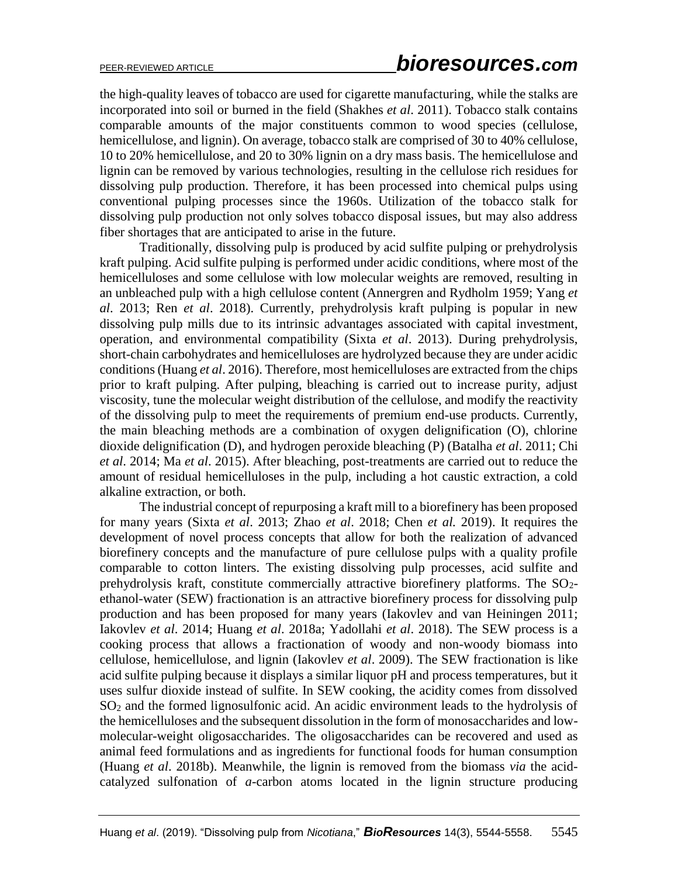the high-quality leaves of tobacco are used for cigarette manufacturing, while the stalks are incorporated into soil or burned in the field (Shakhes *et al*. 2011). Tobacco stalk contains comparable amounts of the major constituents common to wood species (cellulose, hemicellulose, and lignin). On average, tobacco stalk are comprised of 30 to 40% cellulose, 10 to 20% hemicellulose, and 20 to 30% lignin on a dry mass basis. The hemicellulose and lignin can be removed by various technologies, resulting in the cellulose rich residues for dissolving pulp production. Therefore, it has been processed into chemical pulps using conventional pulping processes since the 1960s. Utilization of the tobacco stalk for dissolving pulp production not only solves tobacco disposal issues, but may also address fiber shortages that are anticipated to arise in the future.

Traditionally, dissolving pulp is produced by acid sulfite pulping or prehydrolysis kraft pulping. Acid sulfite pulping is performed under acidic conditions, where most of the hemicelluloses and some cellulose with low molecular weights are removed, resulting in an unbleached pulp with a high cellulose content (Annergren and Rydholm 1959; Yang *et al*. 2013; Ren *et al*. 2018). Currently, prehydrolysis kraft pulping is popular in new dissolving pulp mills due to its intrinsic advantages associated with capital investment, operation, and environmental compatibility (Sixta *et al*. 2013). During prehydrolysis, short-chain carbohydrates and hemicelluloses are hydrolyzed because they are under acidic conditions(Huang *et al*. 2016). Therefore, most hemicelluloses are extracted from the chips prior to kraft pulping. After pulping, bleaching is carried out to increase purity, adjust viscosity, tune the molecular weight distribution of the cellulose, and modify the reactivity of the dissolving pulp to meet the requirements of premium end-use products. Currently, the main bleaching methods are a combination of oxygen delignification (O), chlorine dioxide delignification (D), and hydrogen peroxide bleaching (P) (Batalha *et al*. 2011; Chi *et al*. 2014; Ma *et al*. 2015). After bleaching, post-treatments are carried out to reduce the amount of residual hemicelluloses in the pulp, including a hot caustic extraction, a cold alkaline extraction, or both.

The industrial concept of repurposing a kraft mill to a biorefinery has been proposed for many years (Sixta *et al*. 2013; Zhao *et al*. 2018; Chen *et al.* 2019). It requires the development of novel process concepts that allow for both the realization of advanced biorefinery concepts and the manufacture of pure cellulose pulps with a quality profile comparable to cotton linters. The existing dissolving pulp processes, acid sulfite and prehydrolysis kraft, constitute commercially attractive biorefinery platforms. The  $SO<sub>2</sub>$ ethanol-water (SEW) fractionation is an attractive biorefinery process for dissolving pulp production and has been proposed for many years (Iakovlev and van Heiningen 2011; Iakovlev *et al*. 2014; Huang *et al*. 2018a; Yadollahi *et al*. 2018). The SEW process is a cooking process that allows a fractionation of woody and non-woody biomass into cellulose, hemicellulose, and lignin (Iakovlev *et al*. 2009). The SEW fractionation is like acid sulfite pulping because it displays a similar liquor pH and process temperatures, but it uses sulfur dioxide instead of sulfite. In SEW cooking, the acidity comes from dissolved SO<sup>2</sup> and the formed lignosulfonic acid. An acidic environment leads to the hydrolysis of the hemicelluloses and the subsequent dissolution in the form of monosaccharides and lowmolecular-weight oligosaccharides. The oligosaccharides can be recovered and used as animal feed formulations and as ingredients for functional foods for human consumption (Huang *et al*. 2018b). Meanwhile, the lignin is removed from the biomass *via* the acidcatalyzed sulfonation of *a*-carbon atoms located in the lignin structure producing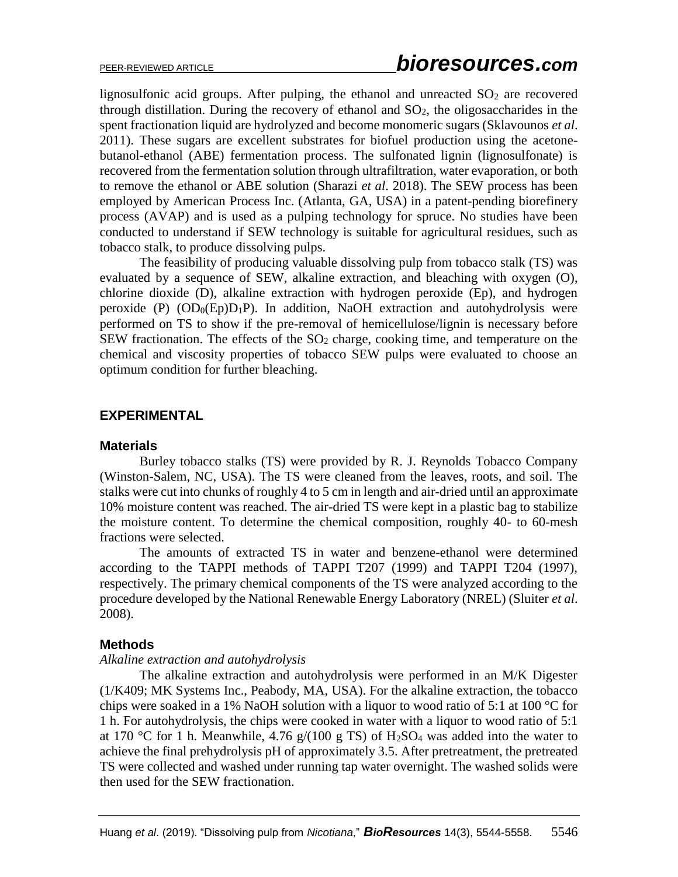lignosulfonic acid groups. After pulping, the ethanol and unreacted  $SO<sub>2</sub>$  are recovered through distillation. During the recovery of ethanol and  $SO<sub>2</sub>$ , the oligosaccharides in the spent fractionation liquid are hydrolyzed and become monomeric sugars (Sklavounos *et al*. 2011). These sugars are excellent substrates for biofuel production using the acetonebutanol-ethanol (ABE) fermentation process. The sulfonated lignin (lignosulfonate) is recovered from the fermentation solution through ultrafiltration, water evaporation, or both to remove the ethanol or ABE solution (Sharazi *et al*. 2018). The SEW process has been employed by American Process Inc. (Atlanta, GA, USA) in a patent-pending biorefinery process (AVAP) and is used as a pulping technology for spruce. No studies have been conducted to understand if SEW technology is suitable for agricultural residues, such as tobacco stalk, to produce dissolving pulps.

The feasibility of producing valuable dissolving pulp from tobacco stalk (TS) was evaluated by a sequence of SEW, alkaline extraction, and bleaching with oxygen (O), chlorine dioxide (D), alkaline extraction with hydrogen peroxide (Ep), and hydrogen peroxide (P)  $(OD<sub>0</sub>(Ep)D<sub>1</sub>P)$ . In addition, NaOH extraction and autohydrolysis were performed on TS to show if the pre-removal of hemicellulose/lignin is necessary before SEW fractionation. The effects of the  $SO<sub>2</sub>$  charge, cooking time, and temperature on the chemical and viscosity properties of tobacco SEW pulps were evaluated to choose an optimum condition for further bleaching.

# **EXPERIMENTAL**

### **Materials**

Burley tobacco stalks (TS) were provided by R. J. Reynolds Tobacco Company (Winston-Salem, NC, USA). The TS were cleaned from the leaves, roots, and soil. The stalks were cut into chunks of roughly 4 to 5 cm in length and air-dried until an approximate 10% moisture content was reached. The air-dried TS were kept in a plastic bag to stabilize the moisture content. To determine the chemical composition, roughly 40- to 60-mesh fractions were selected.

The amounts of extracted TS in water and benzene-ethanol were determined according to the TAPPI methods of TAPPI T207 (1999) and TAPPI T204 (1997), respectively. The primary chemical components of the TS were analyzed according to the procedure developed by the National Renewable Energy Laboratory (NREL) (Sluiter *et al*. 2008).

### **Methods**

### *Alkaline extraction and autohydrolysis*

The alkaline extraction and autohydrolysis were performed in an M/K Digester (1/K409; MK Systems Inc., Peabody, MA, USA). For the alkaline extraction, the tobacco chips were soaked in a 1% NaOH solution with a liquor to wood ratio of 5:1 at 100  $^{\circ}$ C for 1 h. For autohydrolysis, the chips were cooked in water with a liquor to wood ratio of 5:1 at 170 °C for 1 h. Meanwhile, 4.76  $g/(100 g TS)$  of H<sub>2</sub>SO<sub>4</sub> was added into the water to achieve the final prehydrolysis pH of approximately 3.5. After pretreatment, the pretreated TS were collected and washed under running tap water overnight. The washed solids were then used for the SEW fractionation.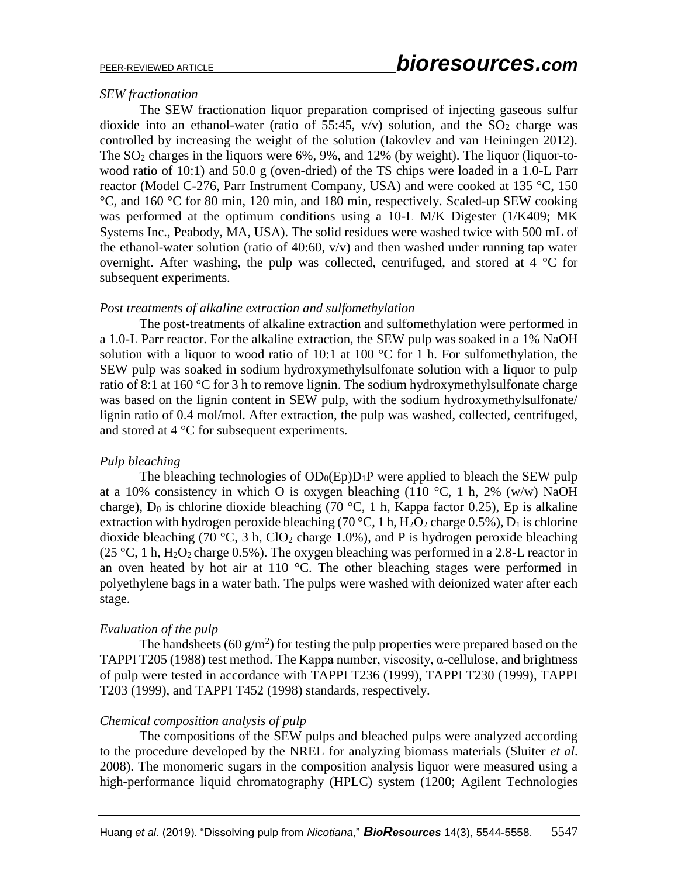#### *SEW fractionation*

The SEW fractionation liquor preparation comprised of injecting gaseous sulfur dioxide into an ethanol-water (ratio of 55:45,  $v/v$ ) solution, and the SO<sub>2</sub> charge was controlled by increasing the weight of the solution (Iakovlev and van Heiningen 2012). The  $SO_2$  charges in the liquors were  $6\%$ , 9%, and 12% (by weight). The liquor (liquor-towood ratio of 10:1) and 50.0 g (oven-dried) of the TS chips were loaded in a 1.0-L Parr reactor (Model C-276, Parr Instrument Company, USA) and were cooked at 135 °C, 150 °C, and 160 °C for 80 min, 120 min, and 180 min, respectively. Scaled-up SEW cooking was performed at the optimum conditions using a 10-L M/K Digester (1/K409; MK Systems Inc., Peabody, MA, USA). The solid residues were washed twice with 500 mL of the ethanol-water solution (ratio of  $40:60$ ,  $v/v$ ) and then washed under running tap water overnight. After washing, the pulp was collected, centrifuged, and stored at 4 °C for subsequent experiments.

#### *Post treatments of alkaline extraction and sulfomethylation*

The post-treatments of alkaline extraction and sulfomethylation were performed in a 1.0-L Parr reactor. For the alkaline extraction, the SEW pulp was soaked in a 1% NaOH solution with a liquor to wood ratio of 10:1 at 100  $^{\circ}$ C for 1 h. For sulfomethylation, the SEW pulp was soaked in sodium hydroxymethylsulfonate solution with a liquor to pulp ratio of 8:1 at 160 °C for 3 h to remove lignin. The sodium hydroxymethylsulfonate charge was based on the lignin content in SEW pulp, with the sodium hydroxymethylsulfonate/ lignin ratio of 0.4 mol/mol. After extraction, the pulp was washed, collected, centrifuged, and stored at 4 °C for subsequent experiments.

#### *Pulp bleaching*

The bleaching technologies of  $OD_0(Ep)D_1P$  were applied to bleach the SEW pulp at a 10% consistency in which O is oxygen bleaching (110 °C, 1 h, 2% (w/w) NaOH charge),  $D_0$  is chlorine dioxide bleaching (70 °C, 1 h, Kappa factor 0.25), Ep is alkaline extraction with hydrogen peroxide bleaching (70 °C, 1 h,  $H_2O_2$  charge 0.5%),  $D_1$  is chlorine dioxide bleaching (70 °C, 3 h, ClO<sub>2</sub> charge 1.0%), and P is hydrogen peroxide bleaching (25 °C, 1 h,  $H_2O_2$  charge 0.5%). The oxygen bleaching was performed in a 2.8-L reactor in an oven heated by hot air at 110  $^{\circ}$ C. The other bleaching stages were performed in polyethylene bags in a water bath. The pulps were washed with deionized water after each stage.

#### *Evaluation of the pulp*

The handsheets (60  $g/m^2$ ) for testing the pulp properties were prepared based on the TAPPI T205 (1988) test method. The Kappa number, viscosity,  $\alpha$ -cellulose, and brightness of pulp were tested in accordance with TAPPI T236 (1999), TAPPI T230 (1999), TAPPI T203 (1999), and TAPPI T452 (1998) standards, respectively.

#### *Chemical composition analysis of pulp*

The compositions of the SEW pulps and bleached pulps were analyzed according to the procedure developed by the NREL for analyzing biomass materials (Sluiter *et al*. 2008). The monomeric sugars in the composition analysis liquor were measured using a high-performance liquid chromatography (HPLC) system (1200; Agilent Technologies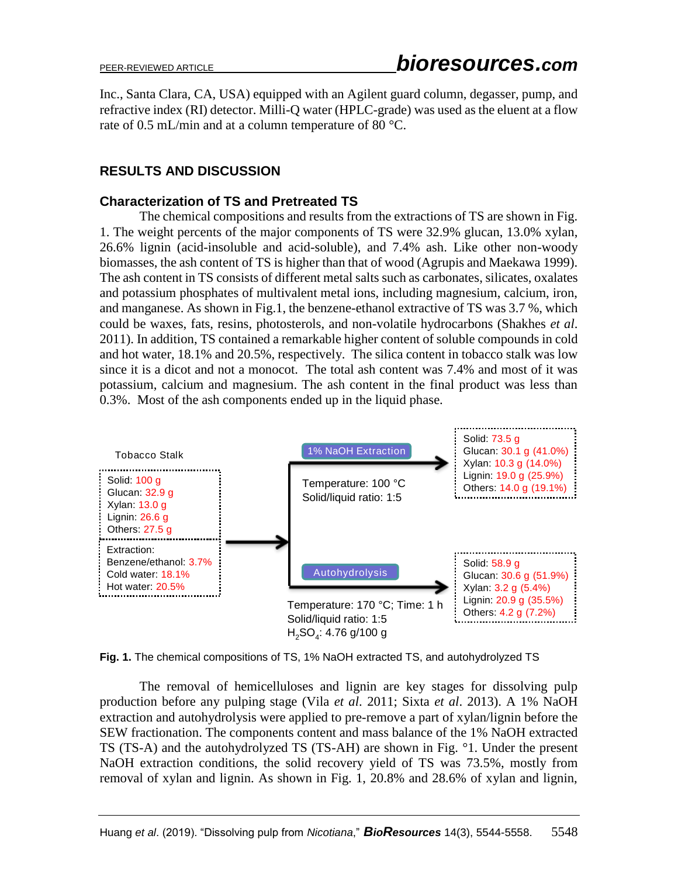Inc., Santa Clara, CA, USA) equipped with an Agilent guard column, degasser, pump, and refractive index (RI) detector. Milli-Q water (HPLC-grade) was used as the eluent at a flow rate of 0.5 mL/min and at a column temperature of 80 °C.

# **RESULTS AND DISCUSSION**

## **Characterization of TS and Pretreated TS**

The chemical compositions and results from the extractions of TS are shown in Fig. 1. The weight percents of the major components of TS were 32.9% glucan, 13.0% xylan, 26.6% lignin (acid-insoluble and acid-soluble), and 7.4% ash. Like other non-woody biomasses, the ash content of TS is higher than that of wood (Agrupis and Maekawa 1999). The ash content in TS consists of different metal salts such as carbonates, silicates, oxalates and potassium phosphates of multivalent metal ions, including magnesium, calcium, iron, and manganese. As shown in Fig.1, the benzene-ethanol extractive of TS was 3.7 %, which could be waxes, fats, resins, photosterols, and non-volatile hydrocarbons (Shakhes *et al*. 2011). In addition, TS contained a remarkable higher content of soluble compounds in cold and hot water, 18.1% and 20.5%, respectively. The silica content in tobacco stalk was low since it is a dicot and not a monocot. The total ash content was 7.4% and most of it was potassium, calcium and magnesium. The ash content in the final product was less than 0.3%. Most of the ash components ended up in the liquid phase.



**Fig. 1.** The chemical compositions of TS, 1% NaOH extracted TS, and autohydrolyzed TS

The removal of hemicelluloses and lignin are key stages for dissolving pulp production before any pulping stage (Vila *et al*. 2011; Sixta *et al*. 2013). A 1% NaOH extraction and autohydrolysis were applied to pre-remove a part of xylan/lignin before the SEW fractionation. The components content and mass balance of the 1% NaOH extracted TS (TS-A) and the autohydrolyzed TS (TS-AH) are shown in Fig. °1. Under the present NaOH extraction conditions, the solid recovery yield of TS was 73.5%, mostly from removal of xylan and lignin. As shown in Fig. 1, 20.8% and 28.6% of xylan and lignin,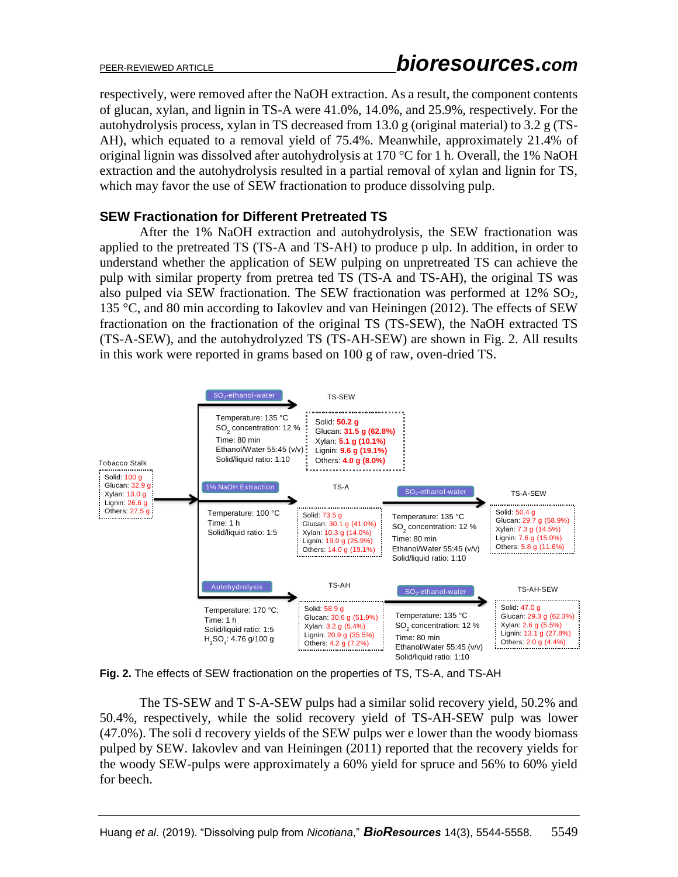respectively, were removed after the NaOH extraction. As a result, the component contents of glucan, xylan, and lignin in TS-A were 41.0%, 14.0%, and 25.9%, respectively. For the autohydrolysis process, xylan in TS decreased from 13.0 g (original material) to 3.2 g (TS-AH), which equated to a removal yield of 75.4%. Meanwhile, approximately 21.4% of original lignin was dissolved after autohydrolysis at 170 °C for 1 h. Overall, the 1% NaOH extraction and the autohydrolysis resulted in a partial removal of xylan and lignin for TS, which may favor the use of SEW fractionation to produce dissolving pulp.

### **SEW Fractionation for Different Pretreated TS**

After the 1% NaOH extraction and autohydrolysis, the SEW fractionation was applied to the pretreated TS (TS-A and TS-AH) to produce p ulp. In addition, in order to understand whether the application of SEW pulping on unpretreated TS can achieve the pulp with similar property from pretrea ted TS (TS-A and TS-AH), the original TS was also pulped via SEW fractionation. The SEW fractionation was performed at  $12\%$  SO<sub>2</sub>, 135 °C, and 80 min according to Iakovlev and van Heiningen (2012). The effects of SEW fractionation on the fractionation of the original TS (TS-SEW), the NaOH extracted TS (TS-A-SEW), and the autohydrolyzed TS (TS-AH-SEW) are shown in Fig. 2. All results in this work were reported in grams based on 100 g of raw, oven-dried TS.



**Fig. 2.** The effects of SEW fractionation on the properties of TS, TS-A, and TS-AH

The TS-SEW and T S-A-SEW pulps had a similar solid recovery yield, 50.2% and 50.4%, respectively, while the solid recovery yield of TS-AH-SEW pulp was lower (47.0%). The soli d recovery yields of the SEW pulps wer e lower than the woody biomass pulped by SEW. Iakovlev and van Heiningen (2011) reported that the recovery yields for the woody SEW-pulps were approximately a 60% yield for spruce and 56% to 60% yield for beech.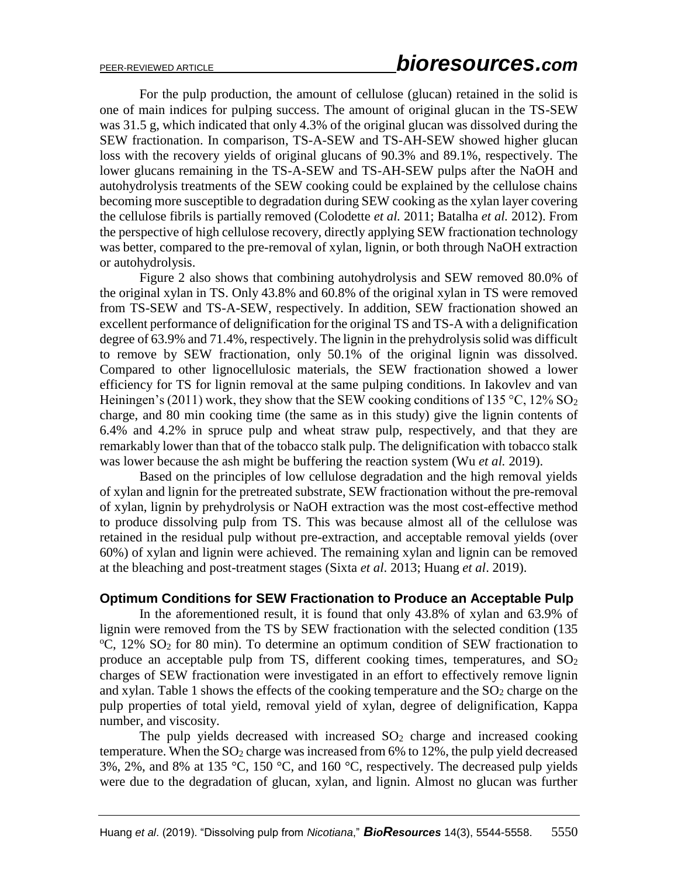For the pulp production, the amount of cellulose (glucan) retained in the solid is one of main indices for pulping success. The amount of original glucan in the TS-SEW was 31.5 g, which indicated that only 4.3% of the original glucan was dissolved during the SEW fractionation. In comparison, TS-A-SEW and TS-AH-SEW showed higher glucan loss with the recovery yields of original glucans of 90.3% and 89.1%, respectively. The lower glucans remaining in the TS-A-SEW and TS-AH-SEW pulps after the NaOH and autohydrolysis treatments of the SEW cooking could be explained by the cellulose chains becoming more susceptible to degradation during SEW cooking as the xylan layer covering the cellulose fibrils is partially removed (Colodette *et al.* 2011; Batalha *et al.* 2012). From the perspective of high cellulose recovery, directly applying SEW fractionation technology was better, compared to the pre-removal of xylan, lignin, or both through NaOH extraction or autohydrolysis.

Figure 2 also shows that combining autohydrolysis and SEW removed 80.0% of the original xylan in TS. Only 43.8% and 60.8% of the original xylan in TS were removed from TS-SEW and TS-A-SEW, respectively. In addition, SEW fractionation showed an excellent performance of delignification for the original TS and TS-A with a delignification degree of 63.9% and 71.4%, respectively. The lignin in the prehydrolysis solid was difficult to remove by SEW fractionation, only 50.1% of the original lignin was dissolved. Compared to other lignocellulosic materials, the SEW fractionation showed a lower efficiency for TS for lignin removal at the same pulping conditions. In Iakovlev and van Heiningen's (2011) work, they show that the SEW cooking conditions of 135 °C, 12%  $SO_2$ charge, and 80 min cooking time (the same as in this study) give the lignin contents of 6.4% and 4.2% in spruce pulp and wheat straw pulp, respectively, and that they are remarkably lower than that of the tobacco stalk pulp. The delignification with tobacco stalk was lower because the ash might be buffering the reaction system (Wu *et al.* 2019).

Based on the principles of low cellulose degradation and the high removal yields of xylan and lignin for the pretreated substrate, SEW fractionation without the pre-removal of xylan, lignin by prehydrolysis or NaOH extraction was the most cost-effective method to produce dissolving pulp from TS. This was because almost all of the cellulose was retained in the residual pulp without pre-extraction, and acceptable removal yields (over 60%) of xylan and lignin were achieved. The remaining xylan and lignin can be removed at the bleaching and post-treatment stages (Sixta *et al*. 2013; Huang *et al*. 2019).

### **Optimum Conditions for SEW Fractionation to Produce an Acceptable Pulp**

In the aforementioned result, it is found that only 43.8% of xylan and 63.9% of lignin were removed from the TS by SEW fractionation with the selected condition (135  $^{\circ}$ C, 12% SO<sub>2</sub> for 80 min). To determine an optimum condition of SEW fractionation to produce an acceptable pulp from TS, different cooking times, temperatures, and  $SO<sub>2</sub>$ charges of SEW fractionation were investigated in an effort to effectively remove lignin and xylan. Table 1 shows the effects of the cooking temperature and the  $SO_2$  charge on the pulp properties of total yield, removal yield of xylan, degree of delignification, Kappa number, and viscosity.

The pulp yields decreased with increased  $SO<sub>2</sub>$  charge and increased cooking temperature. When the  $SO_2$  charge was increased from 6% to 12%, the pulp yield decreased  $3\%$ ,  $2\%$ , and  $8\%$  at  $135 \text{ °C}$ ,  $150 \text{ °C}$ , and  $160 \text{ °C}$ , respectively. The decreased pulp yields were due to the degradation of glucan, xylan, and lignin. Almost no glucan was further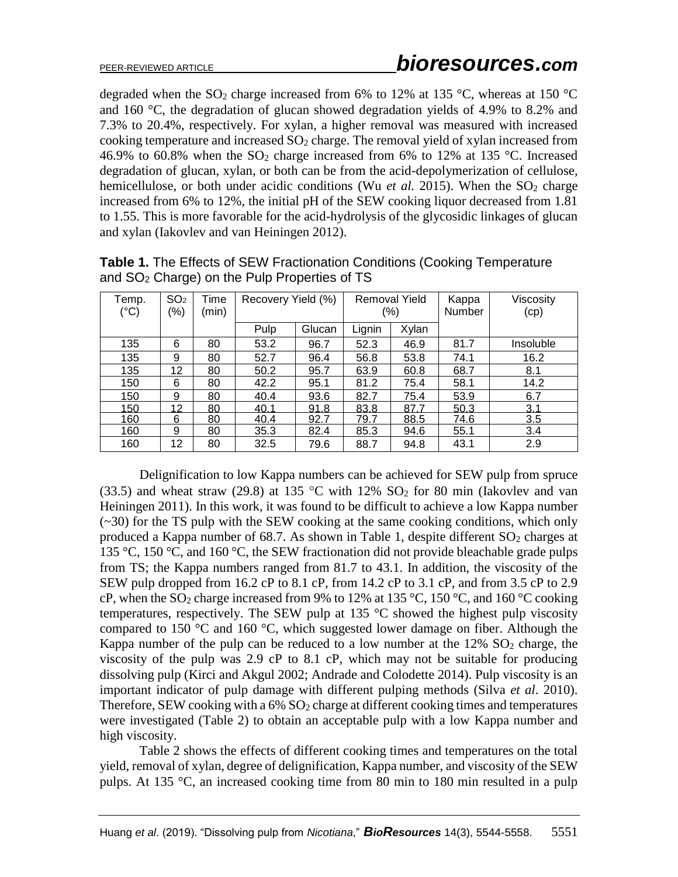degraded when the SO<sub>2</sub> charge increased from 6% to 12% at 135 °C, whereas at 150 °C and 160 °C, the degradation of glucan showed degradation yields of 4.9% to 8.2% and 7.3% to 20.4%, respectively. For xylan, a higher removal was measured with increased cooking temperature and increased  $SO<sub>2</sub>$  charge. The removal yield of xylan increased from 46.9% to 60.8% when the  $SO_2$  charge increased from 6% to 12% at 135 °C. Increased degradation of glucan, xylan, or both can be from the acid-depolymerization of cellulose, hemicellulose, or both under acidic conditions (Wu *et al.* 2015). When the  $SO<sub>2</sub>$  charge increased from 6% to 12%, the initial pH of the SEW cooking liquor decreased from 1.81 to 1.55. This is more favorable for the acid-hydrolysis of the glycosidic linkages of glucan and xylan (Iakovlev and van Heiningen 2012).

| Temp. | SO <sub>2</sub> | Time  | Recovery Yield (%) |        | Removal Yield |       | Kappa  | Viscosity |
|-------|-----------------|-------|--------------------|--------|---------------|-------|--------|-----------|
| (°C)  | $(\% )$         | (min) |                    |        | (%)           |       | Number | (cp)      |
|       |                 |       | Pulp               | Glucan | Lignin        | Xylan |        |           |
| 135   | 6               | 80    | 53.2               | 96.7   | 52.3          | 46.9  | 81.7   | Insoluble |
| 135   | 9               | 80    | 52.7               | 96.4   | 56.8          | 53.8  | 74.1   | 16.2      |
| 135   | 12              | 80    | 50.2               | 95.7   | 63.9          | 60.8  | 68.7   | 8.1       |
| 150   | 6               | 80    | 42.2               | 95.1   | 81.2          | 75.4  | 58.1   | 14.2      |
| 150   | 9               | 80    | 40.4               | 93.6   | 82.7          | 75.4  | 53.9   | 6.7       |
| 150   | 12              | 80    | 40.1               | 91.8   | 83.8          | 87.7  | 50.3   | 3.1       |
| 160   | 6               | 80    | 40.4               | 92.7   | 79.7          | 88.5  | 74.6   | 3.5       |
| 160   | 9               | 80    | 35.3               | 82.4   | 85.3          | 94.6  | 55.1   | 3.4       |
| 160   | 12              | 80    | 32.5               | 79.6   | 88.7          | 94.8  | 43.1   | 2.9       |

**Table 1.** The Effects of SEW Fractionation Conditions (Cooking Temperature and SO<sup>2</sup> Charge) on the Pulp Properties of TS

Delignification to low Kappa numbers can be achieved for SEW pulp from spruce (33.5) and wheat straw (29.8) at 135 °C with 12%  $SO_2$  for 80 min (Iakovlev and van Heiningen 2011). In this work, it was found to be difficult to achieve a low Kappa number (~30) for the TS pulp with the SEW cooking at the same cooking conditions, which only produced a Kappa number of 68.7. As shown in Table 1, despite different  $SO<sub>2</sub>$  charges at 135 °C, 150 °C, and 160 °C, the SEW fractionation did not provide bleachable grade pulps from TS; the Kappa numbers ranged from 81.7 to 43.1. In addition, the viscosity of the SEW pulp dropped from 16.2 cP to 8.1 cP, from 14.2 cP to 3.1 cP, and from 3.5 cP to 2.9 cP, when the SO<sub>2</sub> charge increased from 9% to 12% at 135 °C, 150 °C, and 160 °C cooking temperatures, respectively. The SEW pulp at 135  $\degree$ C showed the highest pulp viscosity compared to 150  $\degree$ C and 160  $\degree$ C, which suggested lower damage on fiber. Although the Kappa number of the pulp can be reduced to a low number at the  $12\%$  SO<sub>2</sub> charge, the viscosity of the pulp was 2.9 cP to 8.1 cP, which may not be suitable for producing dissolving pulp (Kirci and Akgul 2002; Andrade and Colodette 2014). Pulp viscosity is an important indicator of pulp damage with different pulping methods (Silva *et al*. 2010). Therefore, SEW cooking with a  $6\%$  SO<sub>2</sub> charge at different cooking times and temperatures were investigated (Table 2) to obtain an acceptable pulp with a low Kappa number and high viscosity.

Table 2 shows the effects of different cooking times and temperatures on the total yield, removal of xylan, degree of delignification, Kappa number, and viscosity of the SEW pulps. At 135 °C, an increased cooking time from 80 min to 180 min resulted in a pulp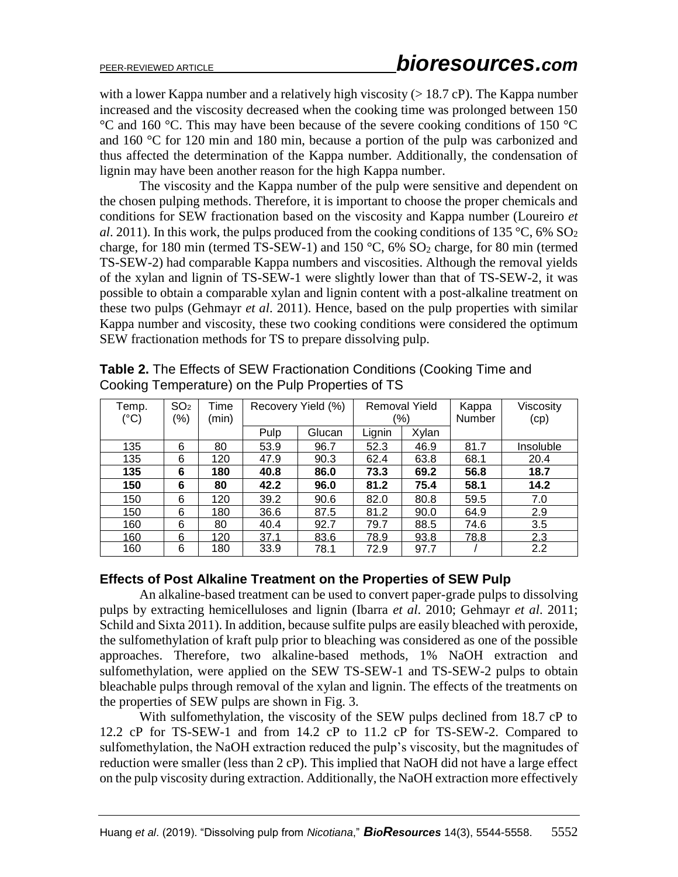with a lower Kappa number and a relatively high viscosity ( $> 18.7$  cP). The Kappa number increased and the viscosity decreased when the cooking time was prolonged between 150 °C and 160 °C. This may have been because of the severe cooking conditions of 150 °C and 160 °C for 120 min and 180 min, because a portion of the pulp was carbonized and thus affected the determination of the Kappa number. Additionally, the condensation of lignin may have been another reason for the high Kappa number.

The viscosity and the Kappa number of the pulp were sensitive and dependent on the chosen pulping methods. Therefore, it is important to choose the proper chemicals and conditions for SEW fractionation based on the viscosity and Kappa number (Loureiro *et al*. 2011). In this work, the pulps produced from the cooking conditions of 135 °C, 6% SO<sub>2</sub> charge, for 180 min (termed TS-SEW-1) and 150  $\degree$ C, 6% SO<sub>2</sub> charge, for 80 min (termed TS-SEW-2) had comparable Kappa numbers and viscosities. Although the removal yields of the xylan and lignin of TS-SEW-1 were slightly lower than that of TS-SEW-2, it was possible to obtain a comparable xylan and lignin content with a post-alkaline treatment on these two pulps (Gehmayr *et al*. 2011). Hence, based on the pulp properties with similar Kappa number and viscosity, these two cooking conditions were considered the optimum SEW fractionation methods for TS to prepare dissolving pulp.

| Temp.<br>$(^{\circ}C)$ | SO <sub>2</sub><br>(%) | Time<br>(min) | Recovery Yield (%) |        | <b>Removal Yield</b><br>(%) |       | Kappa<br><b>Number</b> | Viscosity<br>(cp) |
|------------------------|------------------------|---------------|--------------------|--------|-----------------------------|-------|------------------------|-------------------|
|                        |                        |               | Pulp               | Glucan | Lignin                      | Xylan |                        |                   |
| 135                    | 6                      | 80            | 53.9               | 96.7   | 52.3                        | 46.9  | 81.7                   | <b>Insoluble</b>  |
| 135                    | 6                      | 120           | 47.9               | 90.3   | 62.4                        | 63.8  | 68.1                   | 20.4              |
| 135                    | 6                      | 180           | 40.8               | 86.0   | 73.3                        | 69.2  | 56.8                   | 18.7              |
| 150                    | 6                      | 80            | 42.2               | 96.0   | 81.2                        | 75.4  | 58.1                   | 14.2              |
| 150                    | 6                      | 120           | 39.2               | 90.6   | 82.0                        | 80.8  | 59.5                   | 7.0               |
| 150                    | 6                      | 180           | 36.6               | 87.5   | 81.2                        | 90.0  | 64.9                   | 2.9               |
| 160                    | 6                      | 80            | 40.4               | 92.7   | 79.7                        | 88.5  | 74.6                   | 3.5               |
| 160                    | 6                      | 120           | 37.1               | 83.6   | 78.9                        | 93.8  | 78.8                   | 2.3               |
| 160                    | 6                      | 180           | 33.9               | 78.1   | 72.9                        | 97.7  |                        | 2.2               |

**Table 2.** The Effects of SEW Fractionation Conditions (Cooking Time and Cooking Temperature) on the Pulp Properties of TS

# **Effects of Post Alkaline Treatment on the Properties of SEW Pulp**

An alkaline-based treatment can be used to convert paper-grade pulps to dissolving pulps by extracting hemicelluloses and lignin (Ibarra *et al*. 2010; Gehmayr *et al*. 2011; Schild and Sixta 2011). In addition, because sulfite pulps are easily bleached with peroxide, the sulfomethylation of kraft pulp prior to bleaching was considered as one of the possible approaches. Therefore, two alkaline-based methods, 1% NaOH extraction and sulfomethylation, were applied on the SEW TS-SEW-1 and TS-SEW-2 pulps to obtain bleachable pulps through removal of the xylan and lignin. The effects of the treatments on the properties of SEW pulps are shown in Fig. 3.

With sulfomethylation, the viscosity of the SEW pulps declined from 18.7 cP to 12.2 cP for TS-SEW-1 and from 14.2 cP to 11.2 cP for TS-SEW-2. Compared to sulfomethylation, the NaOH extraction reduced the pulp's viscosity, but the magnitudes of reduction were smaller (less than 2 cP). This implied that NaOH did not have a large effect on the pulp viscosity during extraction. Additionally, the NaOH extraction more effectively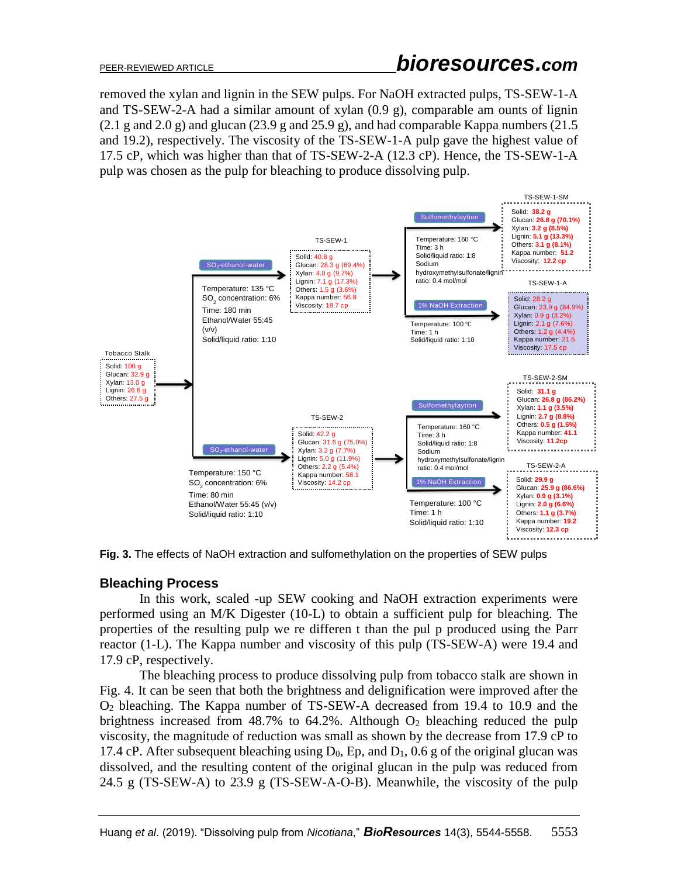removed the xylan and lignin in the SEW pulps. For NaOH extracted pulps, TS-SEW-1-A and TS-SEW-2-A had a similar amount of xylan (0.9 g), comparable am ounts of lignin  $(2.1 \text{ g and } 2.0 \text{ g})$  and glucan  $(23.9 \text{ g and } 25.9 \text{ g})$ , and had comparable Kappa numbers  $(21.5 \text{ g})$ and 19.2), respectively. The viscosity of the TS-SEW-1-A pulp gave the highest value of 17.5 cP, which was higher than that of TS-SEW-2-A (12.3 cP). Hence, the TS-SEW-1-A pulp was chosen as the pulp for bleaching to produce dissolving pulp.



**Fig. 3.** The effects of NaOH extraction and sulfomethylation on the properties of SEW pulps

# **Bleaching Process**

In this work, scaled -up SEW cooking and NaOH extraction experiments were performed using an M/K Digester (10-L) to obtain a sufficient pulp for bleaching. The properties of the resulting pulp we re differen t than the pul p produced using the Parr reactor (1-L). The Kappa number and viscosity of this pulp (TS-SEW-A) were 19.4 and 17.9 cP, respectively.

The bleaching process to produce dissolving pulp from tobacco stalk are shown in Fig. 4. It can be seen that both the brightness and delignification were improved after the O<sup>2</sup> bleaching. The Kappa number of TS-SEW-A decreased from 19.4 to 10.9 and the brightness increased from  $48.7\%$  to  $64.2\%$ . Although  $O<sub>2</sub>$  bleaching reduced the pulp viscosity, the magnitude of reduction was small as shown by the decrease from 17.9 cP to 17.4 cP. After subsequent bleaching using  $D_0$ , Ep, and  $D_1$ , 0.6 g of the original glucan was dissolved, and the resulting content of the original glucan in the pulp was reduced from 24.5 g (TS-SEW-A) to 23.9 g (TS-SEW-A-O-B). Meanwhile, the viscosity of the pulp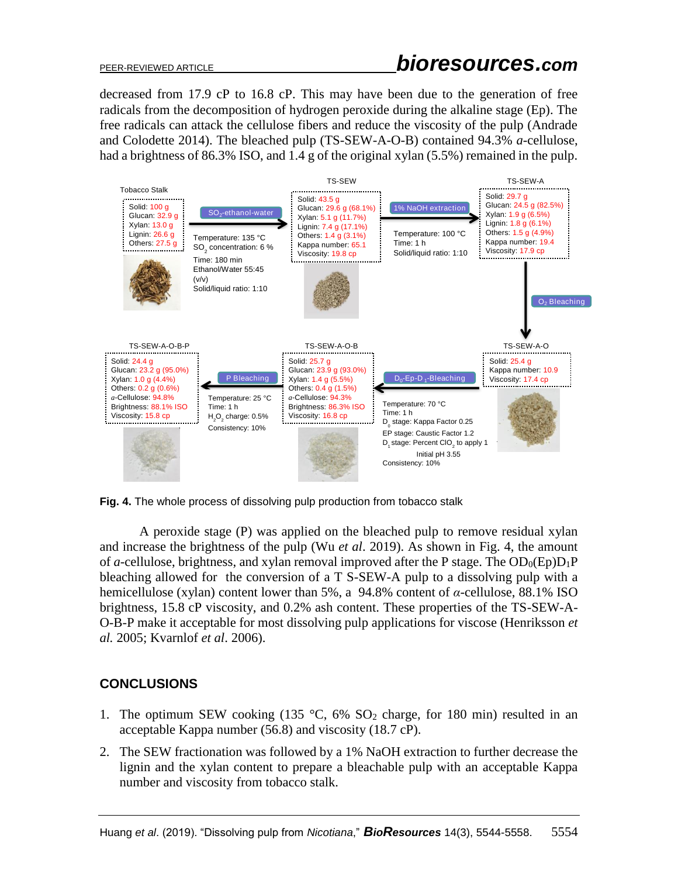decreased from 17.9 cP to 16.8 cP. This may have been due to the generation of free radicals from the decomposition of hydrogen peroxide during the alkaline stage (Ep). The free radicals can attack the cellulose fibers and reduce the viscosity of the pulp (Andrade and Colodette 2014). The bleached pulp (TS-SEW-A-O-B) contained 94.3% *a*-cellulose, had a brightness of 86.3% ISO, and 1.4 g of the original xylan (5.5%) remained in the pulp.



**Fig. 4.** The whole process of dissolving pulp production from tobacco stalk

A peroxide stage (P) was applied on the bleached pulp to remove residual xylan and increase the brightness of the pulp (Wu *et al*. 2019). As shown in Fig. 4, the amount of *a*-cellulose, brightness, and xylan removal improved after the P stage. The  $OD_0(Ep)D_1P$ bleaching allowed for the conversion of a T S-SEW-A pulp to a dissolving pulp with a hemicellulose (xylan) content lower than 5%, a 94.8% content of *α*-cellulose, 88.1% ISO brightness, 15.8 cP viscosity, and 0.2% ash content. These properties of the TS-SEW-A-O-B-P make it acceptable for most dissolving pulp applications for viscose (Henriksson *et al.* 2005; Kvarnlof *et al*. 2006).

# **CONCLUSIONS**

- 1. The optimum SEW cooking (135  $\degree$ C, 6% SO<sub>2</sub> charge, for 180 min) resulted in an acceptable Kappa number (56.8) and viscosity (18.7 cP).
- 2. The SEW fractionation was followed by a 1% NaOH extraction to further decrease the lignin and the xylan content to prepare a bleachable pulp with an acceptable Kappa number and viscosity from tobacco stalk.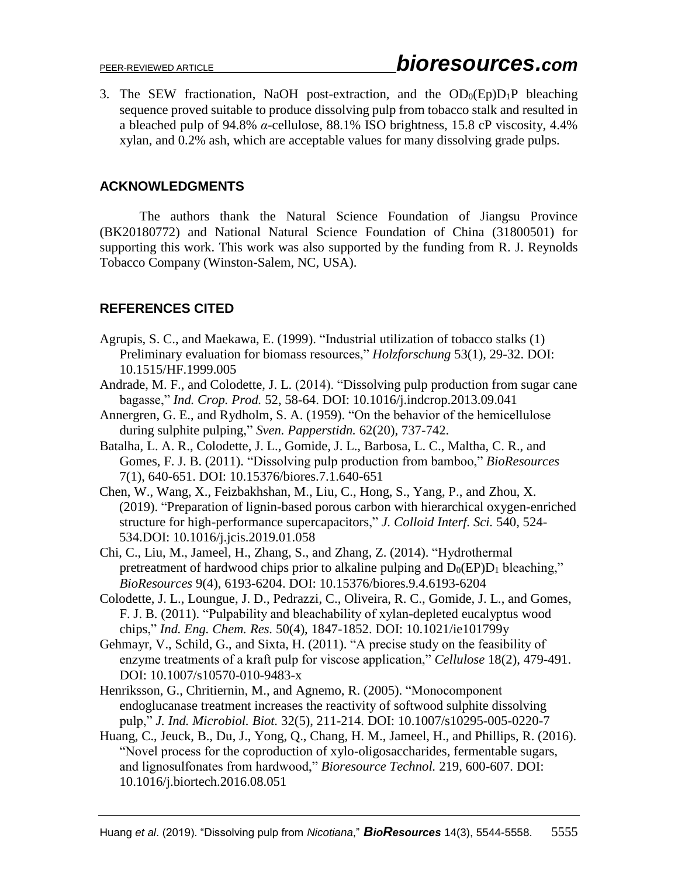3. The SEW fractionation, NaOH post-extraction, and the  $OD_0(Ep)D_1P$  bleaching sequence proved suitable to produce dissolving pulp from tobacco stalk and resulted in a bleached pulp of 94.8% *α*-cellulose, 88.1% ISO brightness, 15.8 cP viscosity, 4.4% xylan, and 0.2% ash, which are acceptable values for many dissolving grade pulps.

### **ACKNOWLEDGMENTS**

The authors thank the Natural Science Foundation of Jiangsu Province (BK20180772) and National Natural Science Foundation of China (31800501) for supporting this work. This work was also supported by the funding from R. J. Reynolds Tobacco Company (Winston-Salem, NC, USA).

# **REFERENCES CITED**

- Agrupis, S. C., and Maekawa, E. (1999). "Industrial utilization of tobacco stalks (1) Preliminary evaluation for biomass resources," *Holzforschung* 53(1), 29-32. DOI: 10.1515/HF.1999.005
- Andrade, M. F., and Colodette, J. L. (2014). "Dissolving pulp production from sugar cane bagasse," *Ind. Crop. Prod.* 52, 58-64. DOI: 10.1016/j.indcrop.2013.09.041
- Annergren, G. E., and Rydholm, S. A. (1959). "On the behavior of the hemicellulose during sulphite pulping," *Sven. Papperstidn.* 62(20), 737-742.
- Batalha, L. A. R., Colodette, J. L., Gomide, J. L., Barbosa, L. C., Maltha, C. R., and Gomes, F. J. B. (2011). "Dissolving pulp production from bamboo," *BioResources* 7(1), 640-651. DOI: 10.15376/biores.7.1.640-651
- Chen, W., Wang, X., Feizbakhshan, M., Liu, C., Hong, S., Yang, P., and Zhou, X. (2019). "Preparation of lignin-based porous carbon with hierarchical oxygen-enriched structure for high-performance supercapacitors," *J. Colloid Interf. Sci.* 540, 524- 534.DOI: 10.1016/j.jcis.2019.01.058
- Chi, C., Liu, M., Jameel, H., Zhang, S., and Zhang, Z. (2014). "Hydrothermal pretreatment of hardwood chips prior to alkaline pulping and  $D_0(EP)D_1$  bleaching," *BioResources* 9(4), 6193-6204. DOI: 10.15376/biores.9.4.6193-6204
- Colodette, J. L., Loungue, J. D., Pedrazzi, C., Oliveira, R. C., Gomide, J. L., and Gomes, F. J. B. (2011). "Pulpability and bleachability of xylan-depleted eucalyptus wood chips," *Ind. Eng. Chem. Res.* 50(4), 1847-1852. DOI: 10.1021/ie101799y
- Gehmayr, V., Schild, G., and Sixta, H. (2011). "A precise study on the feasibility of enzyme treatments of a kraft pulp for viscose application," *Cellulose* 18(2), 479-491. DOI: 10.1007/s10570-010-9483-x
- Henriksson, G., Chritiernin, M., and Agnemo, R. (2005). "Monocomponent endoglucanase treatment increases the reactivity of softwood sulphite dissolving pulp," *J. Ind. Microbiol. Biot.* 32(5), 211-214. DOI: 10.1007/s10295-005-0220-7
- Huang, C., Jeuck, B., Du, J., Yong, Q., Chang, H. M., Jameel, H., and Phillips, R. (2016). "Novel process for the coproduction of xylo-oligosaccharides, fermentable sugars, and lignosulfonates from hardwood," *Bioresource Technol.* 219, 600-607. DOI: 10.1016/j.biortech.2016.08.051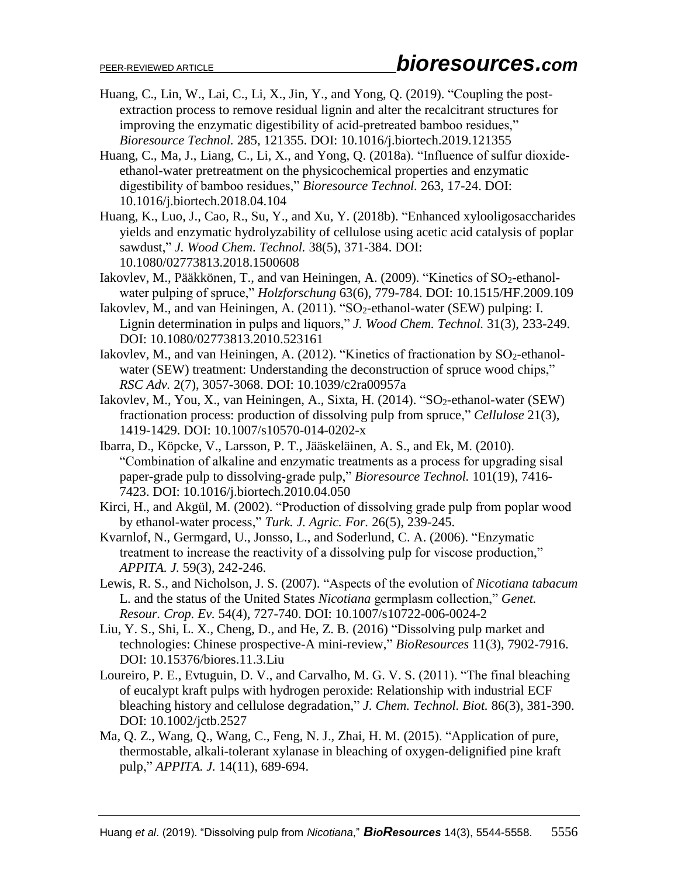- Huang, C., Lin, W., Lai, C., Li, X., Jin, Y., and Yong, Q. (2019). "Coupling the postextraction process to remove residual lignin and alter the recalcitrant structures for improving the enzymatic digestibility of acid-pretreated bamboo residues," *Bioresource Technol.* 285, 121355. DOI: 10.1016/j.biortech.2019.121355
- Huang, C., Ma, J., Liang, C., Li, X., and Yong, Q. (2018a). "Influence of sulfur dioxideethanol-water pretreatment on the physicochemical properties and enzymatic digestibility of bamboo residues," *Bioresource Technol.* 263, 17-24. DOI: 10.1016/j.biortech.2018.04.104
- Huang, K., Luo, J., Cao, R., Su, Y., and Xu, Y. (2018b). "Enhanced xylooligosaccharides yields and enzymatic hydrolyzability of cellulose using acetic acid catalysis of poplar sawdust," *J. Wood Chem. Technol.* 38(5), 371-384. DOI: 10.1080/02773813.2018.1500608
- Iakovlev, M., Pääkkönen, T., and van Heiningen, A. (2009). "Kinetics of SO<sub>2</sub>-ethanolwater pulping of spruce," *Holzforschung* 63(6), 779-784. DOI: 10.1515/HF.2009.109
- Iakovlev, M., and van Heiningen, A. (2011). "SO<sub>2</sub>-ethanol-water (SEW) pulping: I. Lignin determination in pulps and liquors," *J. Wood Chem. Technol.* 31(3), 233-249. DOI: 10.1080/02773813.2010.523161
- Iakovlev, M., and van Heiningen, A. (2012). "Kinetics of fractionation by  $SO_2$ -ethanolwater (SEW) treatment: Understanding the deconstruction of spruce wood chips," *RSC Adv.* 2(7), 3057-3068. DOI: 10.1039/c2ra00957a
- Iakovlev, M., You, X., van Heiningen, A., Sixta, H. (2014). " $SO<sub>2</sub>$ -ethanol-water (SEW) fractionation process: production of dissolving pulp from spruce," *Cellulose* 21(3), 1419-1429. DOI: 10.1007/s10570-014-0202-x
- Ibarra, D., Köpcke, V., Larsson, P. T., Jääskeläinen, A. S., and Ek, M. (2010). "Combination of alkaline and enzymatic treatments as a process for upgrading sisal paper-grade pulp to dissolving-grade pulp," *Bioresource Technol.* 101(19), 7416- 7423. DOI: 10.1016/j.biortech.2010.04.050
- Kirci, H., and Akgül, M. (2002). "Production of dissolving grade pulp from poplar wood by ethanol-water process," *Turk. J. Agric. For.* 26(5), 239-245.
- Kvarnlof, N., Germgard, U., Jonsso, L., and Soderlund, C. A. (2006). "Enzymatic treatment to increase the reactivity of a dissolving pulp for viscose production," *APPITA. J.* 59(3), 242-246.
- Lewis, R. S., and Nicholson, J. S. (2007). "Aspects of the evolution of *Nicotiana tabacum* L. and the status of the United States *Nicotiana* germplasm collection," *Genet. Resour. Crop. Ev.* 54(4), 727-740. DOI: 10.1007/s10722-006-0024-2
- Liu, Y. S., Shi, L. X., Cheng, D., and He, Z. B. (2016) "Dissolving pulp market and technologies: Chinese prospective-A mini-review," *BioResources* 11(3), 7902-7916. DOI: 10.15376/biores.11.3.Liu
- Loureiro, P. E., Evtuguin, D. V., and Carvalho, M. G. V. S. (2011). "The final bleaching of eucalypt kraft pulps with hydrogen peroxide: Relationship with industrial ECF bleaching history and cellulose degradation," *J. Chem. Technol. Biot.* 86(3), 381-390. DOI: 10.1002/jctb.2527
- Ma, Q. Z., Wang, Q., Wang, C., Feng, N. J., Zhai, H. M. (2015). "Application of pure, thermostable, alkali-tolerant xylanase in bleaching of oxygen-delignified pine kraft pulp," *APPITA. J.* 14(11), 689-694.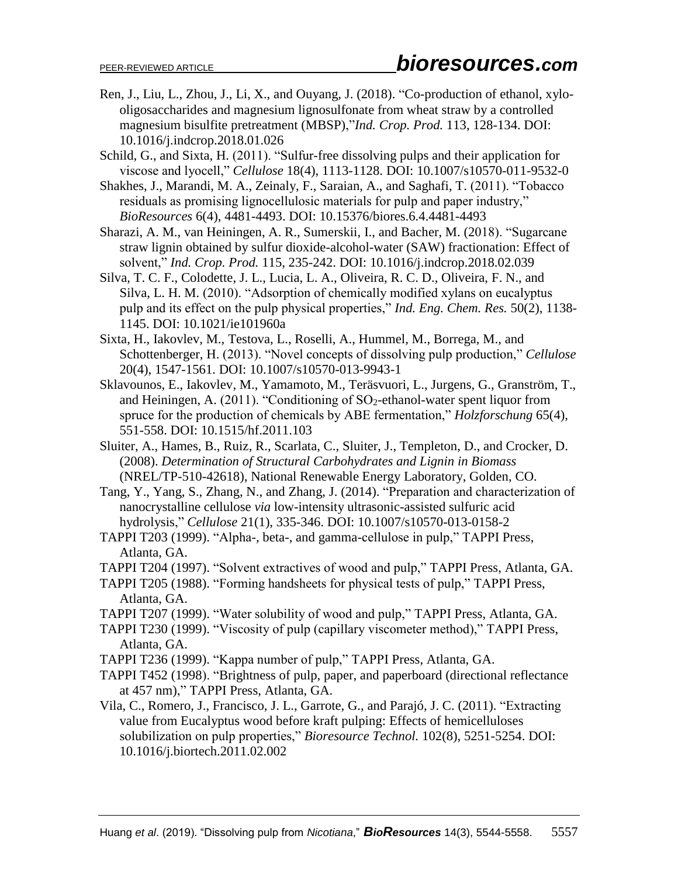- Ren, J., Liu, L., Zhou, J., Li, X., and Ouyang, J. (2018). "Co-production of ethanol, xylooligosaccharides and magnesium lignosulfonate from wheat straw by a controlled magnesium bisulfite pretreatment (MBSP),"*Ind. Crop. Prod.* 113, 128-134. DOI: 10.1016/j.indcrop.2018.01.026
- Schild, G., and Sixta, H. (2011). "Sulfur-free dissolving pulps and their application for viscose and lyocell," *Cellulose* 18(4), 1113-1128. DOI: 10.1007/s10570-011-9532-0
- Shakhes, J., Marandi, M. A., Zeinaly, F., Saraian, A., and Saghafi, T. (2011). "Tobacco residuals as promising lignocellulosic materials for pulp and paper industry," *BioResources* 6(4), 4481-4493. DOI: 10.15376/biores.6.4.4481-4493
- Sharazi, A. M., van Heiningen, A. R., Sumerskii, I., and Bacher, M. (2018). "Sugarcane straw lignin obtained by sulfur dioxide-alcohol-water (SAW) fractionation: Effect of solvent," *Ind. Crop. Prod.* 115, 235-242. DOI: 10.1016/j.indcrop.2018.02.039
- Silva, T. C. F., Colodette, J. L., Lucia, L. A., Oliveira, R. C. D., Oliveira, F. N., and Silva, L. H. M. (2010). "Adsorption of chemically modified xylans on eucalyptus pulp and its effect on the pulp physical properties," *Ind. Eng. Chem. Res.* 50(2), 1138- 1145. DOI: 10.1021/ie101960a
- Sixta, H., Iakovlev, M., Testova, L., Roselli, A., Hummel, M., Borrega, M., and Schottenberger, H. (2013). "Novel concepts of dissolving pulp production," *Cellulose* 20(4), 1547-1561. DOI: 10.1007/s10570-013-9943-1
- Sklavounos, E., Iakovlev, M., Yamamoto, M., Teräsvuori, L., Jurgens, G., Granström, T., and Heiningen, A.  $(2011)$ . "Conditioning of SO<sub>2</sub>-ethanol-water spent liquor from spruce for the production of chemicals by ABE fermentation," *Holzforschung* 65(4), 551-558. DOI: 10.1515/hf.2011.103
- Sluiter, A., Hames, B., Ruiz, R., Scarlata, C., Sluiter, J., Templeton, D., and Crocker, D. (2008). *Determination of Structural Carbohydrates and Lignin in Biomass*  (NREL/TP-510-42618), National Renewable Energy Laboratory, Golden, CO.
- Tang, Y., Yang, S., Zhang, N., and Zhang, J. (2014). "Preparation and characterization of nanocrystalline cellulose *via* low-intensity ultrasonic-assisted sulfuric acid hydrolysis," *Cellulose* 21(1), 335-346. DOI: 10.1007/s10570-013-0158-2
- TAPPI T203 (1999). "Alpha-, beta-, and gamma-cellulose in pulp," TAPPI Press, Atlanta, GA.
- TAPPI T204 (1997). "Solvent extractives of wood and pulp," TAPPI Press, Atlanta, GA.
- TAPPI T205 (1988). "Forming handsheets for physical tests of pulp," TAPPI Press, Atlanta, GA.
- TAPPI T207 (1999). "Water solubility of wood and pulp," TAPPI Press, Atlanta, GA.
- TAPPI T230 (1999). "Viscosity of pulp (capillary viscometer method)," TAPPI Press, Atlanta, GA.
- TAPPI T236 (1999). "Kappa number of pulp," TAPPI Press, Atlanta, GA.
- TAPPI T452 (1998). "Brightness of pulp, paper, and paperboard (directional reflectance at 457 nm)," TAPPI Press, Atlanta, GA.
- Vila, C., Romero, J., Francisco, J. L., Garrote, G., and Parajó, J. C. (2011). "Extracting value from Eucalyptus wood before kraft pulping: Effects of hemicelluloses solubilization on pulp properties," *Bioresource Technol.* 102(8), 5251-5254. DOI: 10.1016/j.biortech.2011.02.002